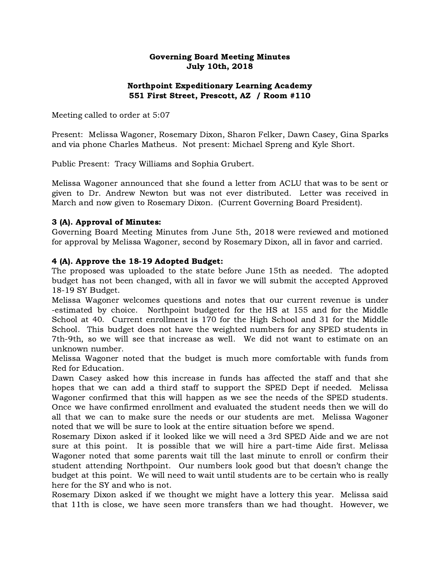#### Governing Board Meeting Minutes July 10th, 2018

# Northpoint Expeditionary Learning Academy 551 First Street, Prescott, AZ / Room #110

Meeting called to order at 5:07

Present: Melissa Wagoner, Rosemary Dixon, Sharon Felker, Dawn Casey, Gina Sparks and via phone Charles Matheus. Not present: Michael Spreng and Kyle Short.

Public Present: Tracy Williams and Sophia Grubert.

Melissa Wagoner announced that she found a letter from ACLU that was to be sent or given to Dr. Andrew Newton but was not ever distributed. Letter was received in March and now given to Rosemary Dixon. (Current Governing Board President).

#### 3 (A). Approval of Minutes:

Governing Board Meeting Minutes from June 5th, 2018 were reviewed and motioned for approval by Melissa Wagoner, second by Rosemary Dixon, all in favor and carried.

#### 4 (A). Approve the 18-19 Adopted Budget:

The proposed was uploaded to the state before June 15th as needed. The adopted budget has not been changed, with all in favor we will submit the accepted Approved 18-19 SY Budget.

Melissa Wagoner welcomes questions and notes that our current revenue is under -estimated by choice. Northpoint budgeted for the HS at 155 and for the Middle School at 40. Current enrollment is 170 for the High School and 31 for the Middle School. This budget does not have the weighted numbers for any SPED students in 7th-9th, so we will see that increase as well. We did not want to estimate on an unknown number.

Melissa Wagoner noted that the budget is much more comfortable with funds from Red for Education.

Dawn Casey asked how this increase in funds has affected the staff and that she hopes that we can add a third staff to support the SPED Dept if needed. Melissa Wagoner confirmed that this will happen as we see the needs of the SPED students. Once we have confirmed enrollment and evaluated the student needs then we will do all that we can to make sure the needs or our students are met. Melissa Wagoner noted that we will be sure to look at the entire situation before we spend.

Rosemary Dixon asked if it looked like we will need a 3rd SPED Aide and we are not sure at this point. It is possible that we will hire a part-time Aide first. Melissa Wagoner noted that some parents wait till the last minute to enroll or confirm their student attending Northpoint. Our numbers look good but that doesn't change the budget at this point. We will need to wait until students are to be certain who is really here for the SY and who is not.

Rosemary Dixon asked if we thought we might have a lottery this year. Melissa said that 11th is close, we have seen more transfers than we had thought. However, we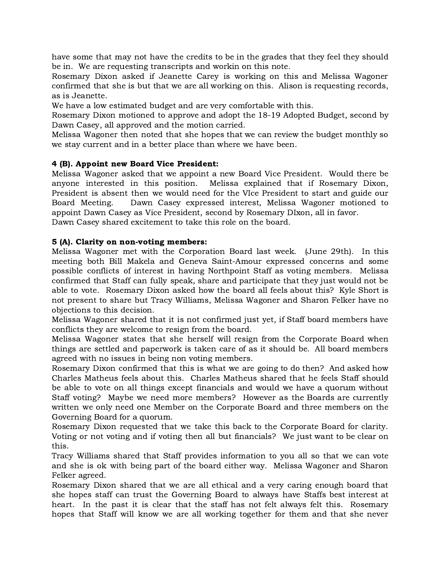have some that may not have the credits to be in the grades that they feel they should be in. We are requesting transcripts and workin on this note.

Rosemary Dixon asked if Jeanette Carey is working on this and Melissa Wagoner confirmed that she is but that we are all working on this. Alison is requesting records, as is Jeanette.

We have a low estimated budget and are very comfortable with this.

Rosemary Dixon motioned to approve and adopt the 18-19 Adopted Budget, second by Dawn Casey, all approved and the motion carried.

Melissa Wagoner then noted that she hopes that we can review the budget monthly so we stay current and in a better place than where we have been.

## 4 (B). Appoint new Board Vice President:

Melissa Wagoner asked that we appoint a new Board Vice President. Would there be anyone interested in this position. Melissa explained that if Rosemary Dixon, President is absent then we would need for the VIce President to start and guide our Board Meeting. Dawn Casey expressed interest, Melissa Wagoner motioned to appoint Dawn Casey as Vice President, second by Rosemary DIxon, all in favor. Dawn Casey shared excitement to take this role on the board.

#### 5 (A). Clarity on non-voting members:

Melissa Wagoner met with the Corporation Board last week. (June 29th). In this meeting both Bill Makela and Geneva Saint-Amour expressed concerns and some possible conflicts of interest in having Northpoint Staff as voting members. Melissa confirmed that Staff can fully speak, share and participate that they just would not be able to vote. Rosemary Dixon asked how the board all feels about this? Kyle Short is not present to share but Tracy Williams, Melissa Wagoner and Sharon Felker have no objections to this decision.

Melissa Wagoner shared that it is not confirmed just yet, if Staff board members have conflicts they are welcome to resign from the board.

Melissa Wagoner states that she herself will resign from the Corporate Board when things are settled and paperwork is taken care of as it should be. All board members agreed with no issues in being non voting members.

Rosemary Dixon confirmed that this is what we are going to do then? And asked how Charles Matheus feels about this. Charles Matheus shared that he feels Staff should be able to vote on all things except financials and would we have a quorum without Staff voting? Maybe we need more members? However as the Boards are currently written we only need one Member on the Corporate Board and three members on the Governing Board for a quorum.

Rosemary Dixon requested that we take this back to the Corporate Board for clarity. Voting or not voting and if voting then all but financials? We just want to be clear on this.

Tracy Williams shared that Staff provides information to you all so that we can vote and she is ok with being part of the board either way. Melissa Wagoner and Sharon Felker agreed.

Rosemary Dixon shared that we are all ethical and a very caring enough board that she hopes staff can trust the Governing Board to always have Staffs best interest at heart. In the past it is clear that the staff has not felt always felt this. Rosemary hopes that Staff will know we are all working together for them and that she never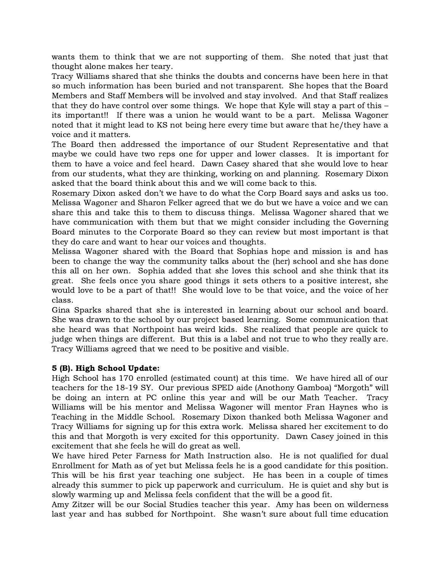wants them to think that we are not supporting of them. She noted that just that thought alone makes her teary.

Tracy Williams shared that she thinks the doubts and concerns have been here in that so much information has been buried and not transparent. She hopes that the Board Members and Staff Members will be involved and stay involved. And that Staff realizes that they do have control over some things. We hope that Kyle will stay a part of this – its important!! If there was a union he would want to be a part. Melissa Wagoner noted that it might lead to KS not being here every time but aware that he/they have a voice and it matters.

The Board then addressed the importance of our Student Representative and that maybe we could have two reps one for upper and lower classes. It is important for them to have a voice and feel heard. Dawn Casey shared that she would love to hear from our students, what they are thinking, working on and planning. Rosemary Dixon asked that the board think about this and we will come back to this.

Rosemary Dixon asked don't we have to do what the Corp Board says and asks us too. Melissa Wagoner and Sharon Felker agreed that we do but we have a voice and we can share this and take this to them to discuss things. Melissa Wagoner shared that we have communication with them but that we might consider including the Governing Board minutes to the Corporate Board so they can review but most important is that they do care and want to hear our voices and thoughts.

Melissa Wagoner shared with the Board that Sophias hope and mission is and has been to change the way the community talks about the (her) school and she has done this all on her own. Sophia added that she loves this school and she think that its great. She feels once you share good things it sets others to a positive interest, she would love to be a part of that!! She would love to be that voice, and the voice of her class.

Gina Sparks shared that she is interested in learning about our school and board. She was drawn to the school by our project based learning. Some communication that she heard was that Northpoint has weird kids. She realized that people are quick to judge when things are different. But this is a label and not true to who they really are. Tracy Williams agreed that we need to be positive and visible.

## 5 (B). High School Update:

High School has 170 enrolled (estimated count) at this time. We have hired all of our teachers for the 18-19 SY. Our previous SPED aide (Anothony Gamboa) "Morgoth" will be doing an intern at PC online this year and will be our Math Teacher. Tracy Williams will be his mentor and Melissa Wagoner will mentor Fran Haynes who is Teaching in the Middle School. Rosemary Dixon thanked both Melissa Wagoner and Tracy Williams for signing up for this extra work. Melissa shared her excitement to do this and that Morgoth is very excited for this opportunity. Dawn Casey joined in this excitement that she feels he will do great as well.

We have hired Peter Farness for Math Instruction also. He is not qualified for dual Enrollment for Math as of yet but Melissa feels he is a good candidate for this position. This will be his first year teaching one subject. He has been in a couple of times already this summer to pick up paperwork and curriculum. He is quiet and shy but is slowly warming up and Melissa feels confident that the will be a good fit.

Amy Zitzer will be our Social Studies teacher this year. Amy has been on wilderness last year and has subbed for Northpoint. She wasn't sure about full time education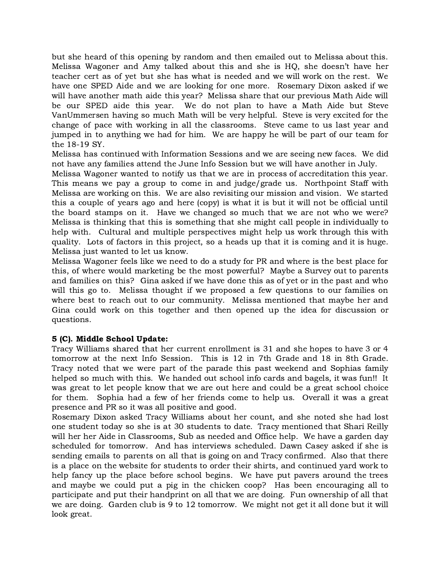but she heard of this opening by random and then emailed out to Melissa about this. Melissa Wagoner and Amy talked about this and she is HQ, she doesn't have her teacher cert as of yet but she has what is needed and we will work on the rest. We have one SPED Aide and we are looking for one more. Rosemary Dixon asked if we will have another math aide this year? Melissa share that our previous Math Aide will be our SPED aide this year. We do not plan to have a Math Aide but Steve VanUmmersen having so much Math will be very helpful. Steve is very excited for the change of pace with working in all the classrooms. Steve came to us last year and jumped in to anything we had for him. We are happy he will be part of our team for the 18-19 SY.

Melissa has continued with Information Sessions and we are seeing new faces. We did not have any families attend the June Info Session but we will have another in July.

Melissa Wagoner wanted to notify us that we are in process of accreditation this year. This means we pay a group to come in and judge/grade us. Northpoint Staff with Melissa are working on this. We are also revisiting our mission and vision. We started this a couple of years ago and here (copy) is what it is but it will not be official until the board stamps on it. Have we changed so much that we are not who we were? Melissa is thinking that this is something that she might call people in individually to help with. Cultural and multiple perspectives might help us work through this with quality. Lots of factors in this project, so a heads up that it is coming and it is huge. Melissa just wanted to let us know.

Melissa Wagoner feels like we need to do a study for PR and where is the best place for this, of where would marketing be the most powerful? Maybe a Survey out to parents and families on this? Gina asked if we have done this as of yet or in the past and who will this go to. Melissa thought if we proposed a few questions to our families on where best to reach out to our community. Melissa mentioned that maybe her and Gina could work on this together and then opened up the idea for discussion or questions.

## 5 (C). Middle School Update:

Tracy Williams shared that her current enrollment is 31 and she hopes to have 3 or 4 tomorrow at the next Info Session. This is 12 in 7th Grade and 18 in 8th Grade. Tracy noted that we were part of the parade this past weekend and Sophias family helped so much with this. We handed out school info cards and bagels, it was fun!! It was great to let people know that we are out here and could be a great school choice for them. Sophia had a few of her friends come to help us. Overall it was a great presence and PR so it was all positive and good.

Rosemary Dixon asked Tracy Williams about her count, and she noted she had lost one student today so she is at 30 students to date. Tracy mentioned that Shari Reilly will her her Aide in Classrooms, Sub as needed and Office help. We have a garden day scheduled for tomorrow. And has interviews scheduled. Dawn Casey asked if she is sending emails to parents on all that is going on and Tracy confirmed. Also that there is a place on the website for students to order their shirts, and continued yard work to help fancy up the place before school begins. We have put pavers around the trees and maybe we could put a pig in the chicken coop? Has been encouraging all to participate and put their handprint on all that we are doing. Fun ownership of all that we are doing. Garden club is 9 to 12 tomorrow. We might not get it all done but it will look great.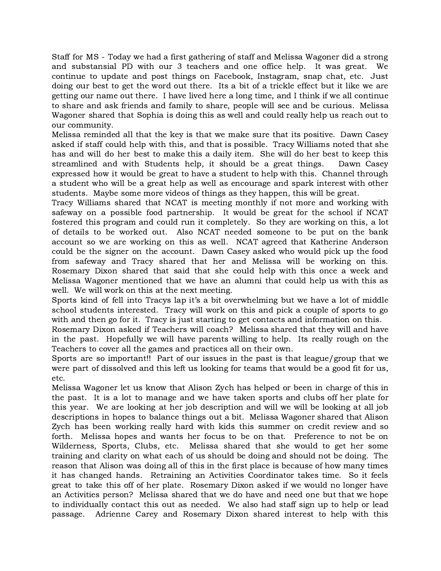Staff for MS - Today we had a first gathering of staff and Melissa Wagoner did a strong and substansial PD with our 3 teachers and one office help. It was great. We continue to update and post things on Facebook, Instagram, snap chat, etc. Just doing our best to get the word out there. Its a bit of a trickle effect but it like we are getting our name out there. I have lived here a long time, and I think if we all continue to share and ask friends and family to share, people will see and be curious. Melissa Wagoner shared that Sophia is doing this as well and could really help us reach out to our community.

Melissa reminded all that the key is that we make sure that its positive. Dawn Casey asked if staff could help with this, and that is possible. Tracy Williams noted that she has and will do her best to make this a daily item. She will do her best to keep this streamlined and with Students help, it should be a great things. Dawn Casey expressed how it would be great to have a student to help with this. Channel through a student who will be a great help as well as encourage and spark interest with other students. Maybe some more videos of things as they happen, this will be great.

Tracy Williams shared that NCAT is meeting monthly if not more and working with safeway on a possible food partnership. It would be great for the school if NCAT fostered this program and could run it completely. So they are working on this, a lot of details to be worked out. Also NCAT needed someone to be put on the bank account so we are working on this as well. NCAT agreed that Katherine Anderson could be the signer on the account. Dawn Casey asked who would pick up the food from safeway and Tracy shared that her and Melissa will be working on this. Rosemary Dixon shared that said that she could help with this once a week and Melissa Wagoner mentioned that we have an alumni that could help us with this as well. We will work on this at the next meeting.

Sports kind of fell into Tracys lap it's a bit overwhelming but we have a lot of middle school students interested. Tracy will work on this and pick a couple of sports to go with and then go for it. Tracy is just starting to get contacts and information on this.

Rosemary Dixon asked if Teachers will coach? Melissa shared that they will and have in the past. Hopefully we will have parents willing to help. Its really rough on the Teachers to cover all the games and practices all on their own.

Sports are so important!! Part of our issues in the past is that league/group that we were part of dissolved and this left us looking for teams that would be a good fit for us, etc.

Melissa Wagoner let us know that Alison Zych has helped or been in charge of this in the past. It is a lot to manage and we have taken sports and clubs off her plate for this year. We are looking at her job description and will we will be looking at all job descriptions in hopes to balance things out a bit. Melissa Wagoner shared that Alison Zych has been working really hard with kids this summer on credit review and so forth. Melissa hopes and wants her focus to be on that. Preference to not be on Wilderness, Sports, Clubs, etc. Melissa shared that she would to get her some training and clarity on what each of us should be doing and should not be doing. The reason that Alison was doing all of this in the first place is because of how many times it has changed hands. Retraining an Activities Coordinator takes time. So it feels great to take this off of her plate. Rosemary Dixon asked if we would no longer have an Activities person? Melissa shared that we do have and need one but that we hope to individually contact this out as needed. We also had staff sign up to help or lead passage. Adrienne Carey and Rosemary Dixon shared interest to help with this